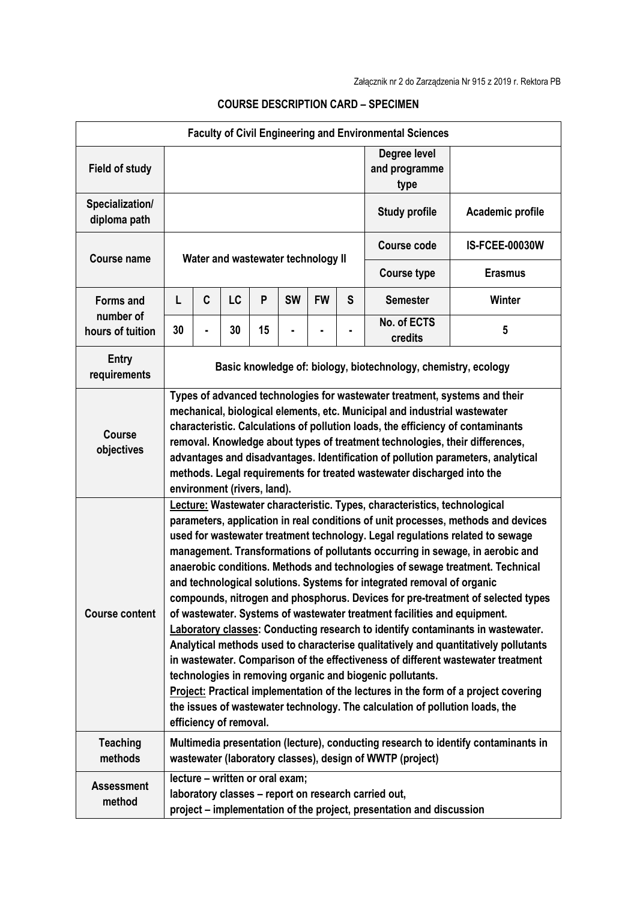| <b>Faculty of Civil Engineering and Environmental Sciences</b> |                                                                                                                                                                                                                                                                                                                                                                                                                                                                                                                                                                                                                                                                                                                                                                                                                                                                                                                                                                                                                                                                                                                                                                                               |   |    |    |           |           |                                       |                                                           |                                                                                    |
|----------------------------------------------------------------|-----------------------------------------------------------------------------------------------------------------------------------------------------------------------------------------------------------------------------------------------------------------------------------------------------------------------------------------------------------------------------------------------------------------------------------------------------------------------------------------------------------------------------------------------------------------------------------------------------------------------------------------------------------------------------------------------------------------------------------------------------------------------------------------------------------------------------------------------------------------------------------------------------------------------------------------------------------------------------------------------------------------------------------------------------------------------------------------------------------------------------------------------------------------------------------------------|---|----|----|-----------|-----------|---------------------------------------|-----------------------------------------------------------|------------------------------------------------------------------------------------|
| <b>Field of study</b>                                          |                                                                                                                                                                                                                                                                                                                                                                                                                                                                                                                                                                                                                                                                                                                                                                                                                                                                                                                                                                                                                                                                                                                                                                                               |   |    |    |           |           | Degree level<br>and programme<br>type |                                                           |                                                                                    |
| Specialization/<br>diploma path                                |                                                                                                                                                                                                                                                                                                                                                                                                                                                                                                                                                                                                                                                                                                                                                                                                                                                                                                                                                                                                                                                                                                                                                                                               |   |    |    |           |           |                                       | <b>Study profile</b>                                      | Academic profile                                                                   |
| <b>Course name</b>                                             | Water and wastewater technology II                                                                                                                                                                                                                                                                                                                                                                                                                                                                                                                                                                                                                                                                                                                                                                                                                                                                                                                                                                                                                                                                                                                                                            |   |    |    |           |           |                                       | <b>Course code</b>                                        | <b>IS-FCEE-00030W</b>                                                              |
|                                                                |                                                                                                                                                                                                                                                                                                                                                                                                                                                                                                                                                                                                                                                                                                                                                                                                                                                                                                                                                                                                                                                                                                                                                                                               |   |    |    |           |           |                                       | <b>Course type</b>                                        | <b>Erasmus</b>                                                                     |
| <b>Forms and</b><br>number of<br>hours of tuition              | L                                                                                                                                                                                                                                                                                                                                                                                                                                                                                                                                                                                                                                                                                                                                                                                                                                                                                                                                                                                                                                                                                                                                                                                             | C | LC | P  | <b>SW</b> | <b>FW</b> | S                                     | <b>Semester</b>                                           | <b>Winter</b>                                                                      |
|                                                                | 30                                                                                                                                                                                                                                                                                                                                                                                                                                                                                                                                                                                                                                                                                                                                                                                                                                                                                                                                                                                                                                                                                                                                                                                            |   | 30 | 15 |           |           |                                       | No. of ECTS<br>credits                                    | 5                                                                                  |
| <b>Entry</b><br>requirements                                   | Basic knowledge of: biology, biotechnology, chemistry, ecology                                                                                                                                                                                                                                                                                                                                                                                                                                                                                                                                                                                                                                                                                                                                                                                                                                                                                                                                                                                                                                                                                                                                |   |    |    |           |           |                                       |                                                           |                                                                                    |
| <b>Course</b><br>objectives                                    | Types of advanced technologies for wastewater treatment, systems and their<br>mechanical, biological elements, etc. Municipal and industrial wastewater<br>characteristic. Calculations of pollution loads, the efficiency of contaminants<br>removal. Knowledge about types of treatment technologies, their differences,<br>advantages and disadvantages. Identification of pollution parameters, analytical<br>methods. Legal requirements for treated wastewater discharged into the<br>environment (rivers, land).                                                                                                                                                                                                                                                                                                                                                                                                                                                                                                                                                                                                                                                                       |   |    |    |           |           |                                       |                                                           |                                                                                    |
| <b>Course content</b>                                          | Lecture: Wastewater characteristic. Types, characteristics, technological<br>parameters, application in real conditions of unit processes, methods and devices<br>used for wastewater treatment technology. Legal regulations related to sewage<br>management. Transformations of pollutants occurring in sewage, in aerobic and<br>anaerobic conditions. Methods and technologies of sewage treatment. Technical<br>and technological solutions. Systems for integrated removal of organic<br>compounds, nitrogen and phosphorus. Devices for pre-treatment of selected types<br>of wastewater. Systems of wastewater treatment facilities and equipment.<br><b>Laboratory classes: Conducting research to identify contaminants in wastewater.</b><br>Analytical methods used to characterise qualitatively and quantitatively pollutants<br>in wastewater. Comparison of the effectiveness of different wastewater treatment<br>technologies in removing organic and biogenic pollutants.<br>Project: Practical implementation of the lectures in the form of a project covering<br>the issues of wastewater technology. The calculation of pollution loads, the<br>efficiency of removal. |   |    |    |           |           |                                       |                                                           |                                                                                    |
| <b>Teaching</b><br>methods                                     |                                                                                                                                                                                                                                                                                                                                                                                                                                                                                                                                                                                                                                                                                                                                                                                                                                                                                                                                                                                                                                                                                                                                                                                               |   |    |    |           |           |                                       | wastewater (laboratory classes), design of WWTP (project) | Multimedia presentation (lecture), conducting research to identify contaminants in |
| <b>Assessment</b><br>method                                    | lecture - written or oral exam;<br>laboratory classes - report on research carried out,<br>project – implementation of the project, presentation and discussion                                                                                                                                                                                                                                                                                                                                                                                                                                                                                                                                                                                                                                                                                                                                                                                                                                                                                                                                                                                                                               |   |    |    |           |           |                                       |                                                           |                                                                                    |

## **COURSE DESCRIPTION CARD – SPECIMEN**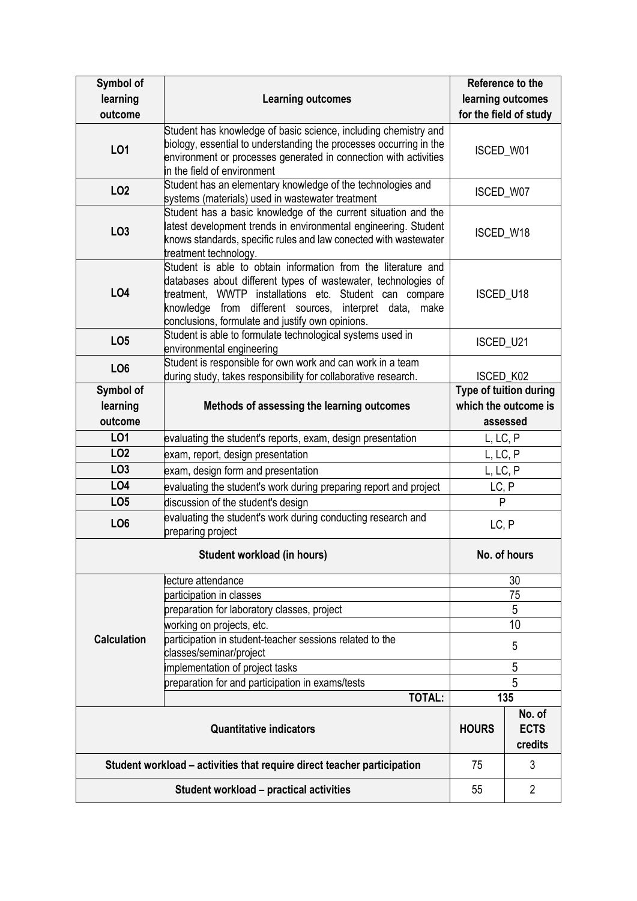| Symbol of<br>learning                                                   | <b>Learning outcomes</b>                                                                                                                                                                                                                                                                                | Reference to the<br>learning outcomes |                                                            |
|-------------------------------------------------------------------------|---------------------------------------------------------------------------------------------------------------------------------------------------------------------------------------------------------------------------------------------------------------------------------------------------------|---------------------------------------|------------------------------------------------------------|
| outcome                                                                 |                                                                                                                                                                                                                                                                                                         | for the field of study                |                                                            |
| <b>LO1</b>                                                              | Student has knowledge of basic science, including chemistry and<br>biology, essential to understanding the processes occurring in the<br>environment or processes generated in connection with activities<br>in the field of environment                                                                | ISCED_W01                             |                                                            |
| <b>LO2</b>                                                              | Student has an elementary knowledge of the technologies and<br>systems (materials) used in wastewater treatment                                                                                                                                                                                         | ISCED_W07                             |                                                            |
| LO <sub>3</sub>                                                         | Student has a basic knowledge of the current situation and the<br>latest development trends in environmental engineering. Student<br>knows standards, specific rules and law conected with wastewater<br>treatment technology.                                                                          | ISCED_W18                             |                                                            |
| <b>LO4</b>                                                              | Student is able to obtain information from the literature and<br>databases about different types of wastewater, technologies of<br>treatment, WWTP installations etc. Student can compare<br>knowledge from different sources, interpret data, make<br>conclusions, formulate and justify own opinions. | ISCED_U18                             |                                                            |
| LO <sub>5</sub>                                                         | Student is able to formulate technological systems used in<br>environmental engineering                                                                                                                                                                                                                 | ISCED_U21                             |                                                            |
| LO <sub>6</sub>                                                         | Student is responsible for own work and can work in a team<br>during study, takes responsibility for collaborative research.                                                                                                                                                                            | ISCED_K02                             |                                                            |
| Symbol of<br>learning<br>outcome                                        | Methods of assessing the learning outcomes                                                                                                                                                                                                                                                              |                                       | Type of tuition during<br>which the outcome is<br>assessed |
| LO1                                                                     | evaluating the student's reports, exam, design presentation                                                                                                                                                                                                                                             | L, LC, P                              |                                                            |
| LO <sub>2</sub>                                                         | exam, report, design presentation                                                                                                                                                                                                                                                                       | L, LC, P                              |                                                            |
| LO <sub>3</sub>                                                         | exam, design form and presentation                                                                                                                                                                                                                                                                      | L, LC, P                              |                                                            |
| LO4                                                                     | evaluating the student's work during preparing report and project                                                                                                                                                                                                                                       | LC, P                                 |                                                            |
| LO <sub>5</sub>                                                         | discussion of the student's design                                                                                                                                                                                                                                                                      | $\mathsf{P}$                          |                                                            |
| LO <sub>6</sub>                                                         | evaluating the student's work during conducting research and<br>preparing project                                                                                                                                                                                                                       | LC, P                                 |                                                            |
|                                                                         | No. of hours                                                                                                                                                                                                                                                                                            |                                       |                                                            |
|                                                                         | lecture attendance                                                                                                                                                                                                                                                                                      | 30                                    |                                                            |
|                                                                         | participation in classes                                                                                                                                                                                                                                                                                | 75                                    |                                                            |
|                                                                         | preparation for laboratory classes, project                                                                                                                                                                                                                                                             | 5                                     |                                                            |
|                                                                         | working on projects, etc.                                                                                                                                                                                                                                                                               | 10                                    |                                                            |
| <b>Calculation</b>                                                      | participation in student-teacher sessions related to the<br>classes/seminar/project                                                                                                                                                                                                                     | 5                                     |                                                            |
|                                                                         | implementation of project tasks                                                                                                                                                                                                                                                                         | 5                                     |                                                            |
|                                                                         | preparation for and participation in exams/tests<br><b>TOTAL:</b>                                                                                                                                                                                                                                       | 5                                     |                                                            |
|                                                                         | 135                                                                                                                                                                                                                                                                                                     |                                       |                                                            |
|                                                                         | <b>HOURS</b>                                                                                                                                                                                                                                                                                            | No. of<br><b>ECTS</b><br>credits      |                                                            |
| Student workload – activities that require direct teacher participation |                                                                                                                                                                                                                                                                                                         |                                       | 3                                                          |
|                                                                         | 55                                                                                                                                                                                                                                                                                                      | $\overline{2}$                        |                                                            |